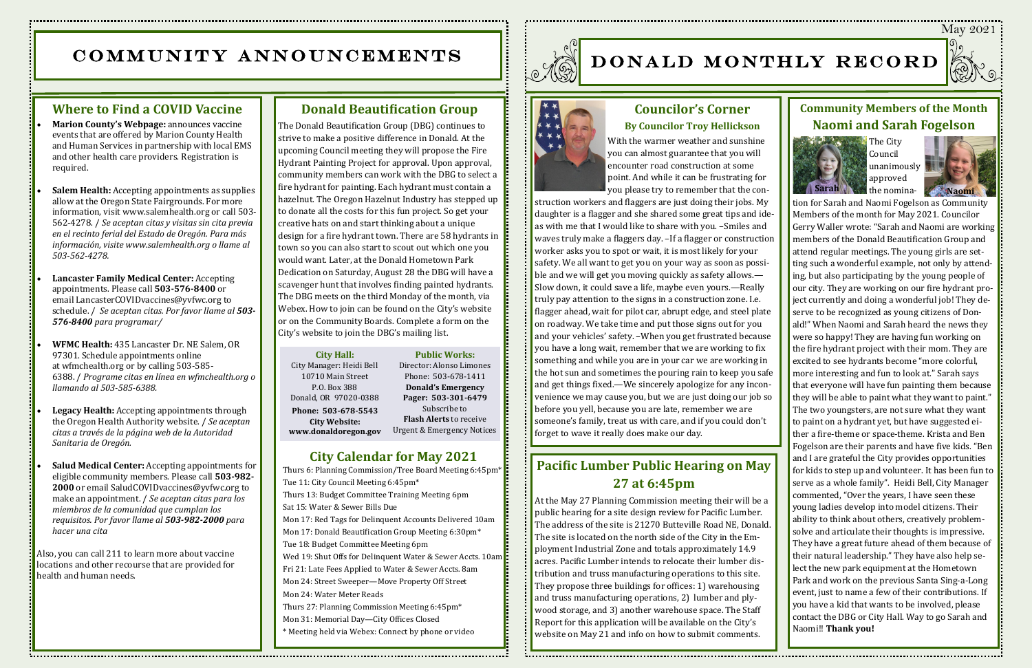

# COMMUNITY ANNOUNCEMENTS



- **Marion County's Webpage:** announces vaccine events that are offered by Marion County Health and Human Services in partnership with local EMS and other health care providers. Registration is required.
- **[Salem Health:](https://www.salemhealth.org/covid-19/covid-vaccine)** Accepting appointments as supplies allow at the Oregon State Fairgrounds. For more information, visit [www.salemhealth.org](https://www.salemhealth.org/covid-19/covid-vaccine) or call 503- 562-4278. / *Se aceptan citas y visitas sin cita previa en el recinto ferial del Estado de Oregón. Para más información, visite [www.salemhealth.org](https://www.salemhealth.org/covid-19/covid-vaccine) o llame al 503-562-4278.*
- **Lancaster Family Medical Center:** Accepting appointments. Please call **503-576-8400** or email [LancasterCOVIDvaccines@yvfwc.org](mailto:%20LancasterCOVIDvaccines@yvfwc.org) to schedule. / *Se aceptan citas. Por favor llame al 503- 576-8400 para programar/*
- **[WFMC Health:](https://www.co.marion.or.us/HLT/COVID-19/Documents/wfmc%20flier.pdf)** 435 Lancaster Dr. NE Salem, OR 97301. Schedule appointments online at [wfmchealth.org](https://wfmchealth.org/) or by calling 503-585- 6388. / *Programe citas en línea en [wfmchealth.org](https://wfmchealth.org/) o llamando al 503-585-6388.*
- [Legacy Health:](https://covidvaccine.oregon.gov/) Accepting appointments through the [Oregon Health Authority](https://covidvaccine.oregon.gov/) website. / *Se aceptan citas a través de la página web de la Autoridad Sanitaria de Oregón.*
- **Salud Medical Center:** Accepting appointments for eligible community members. Please call **503-982- 2000** or email [SaludCOVIDvaccines@yvfwc.org](mailto:%20SaludCOVIDvaccines@yvfwc.org) to make an appointment. / *Se aceptan citas para los miembros de la comunidad que cumplan los requisitos. Por favor llame al 503-982-2000 para hacer una cita*

Also, you can call 211 to learn more about vaccine locations and other recourse that are provided for health and human needs.

## **Community Members of the Month Naomi and Sarah Fogelson**



The City Council unanimously  $\Box$ approved



Sarah **Naomi** the nomination for Sarah and Naomi Fogelson as Community Members of the month for May 2021. Councilor Gerry Waller wrote: "Sarah and Naomi are working : members of the Donald Beautification Group and attend regular meetings. The young girls are setting such a wonderful example, not only by attending, but also participating by the young people of our city. They are working on our fire hydrant project currently and doing a wonderful job! They deserve to be recognized as young citizens of Donald!" When Naomi and Sarah heard the news they were so happy! They are having fun working on the fire hydrant project with their mom. They are excited to see hydrants become "more colorful, more interesting and fun to look at." Sarah says that everyone will have fun painting them because they will be able to paint what they want to paint." The two youngsters, are not sure what they want to paint on a hydrant yet, but have suggested either a fire-theme or space-theme. Krista and Ben Fogelson are their parents and have five kids. "Ben and I are grateful the City provides opportunities for kids to step up and volunteer. It has been fun to serve as a whole family". Heidi Bell, City Manager commented, "Over the years, I have seen these young ladies develop into model citizens. Their ability to think about others, creatively problemsolve and articulate their thoughts is impressive. They have a great future ahead of them because of their natural leadership." They have also help select the new park equipment at the Hometown Park and work on the previous Santa Sing-a-Long event, just to name a few of their contributions. If you have a kid that wants to be involved, please contact the DBG or City Hall. Way to go Sarah and Naomi!! **Thank you!** 

### **Councilor's Corner By Councilor Troy Hellickson**



With the warmer weather and sunshine you can almost guarantee that you will encounter road construction at some point. And while it can be frustrating for you please try to remember that the con-

Thurs 6: Planning Commission/Tree Board Meeting 6:45pm\* The EFF ony South 1100ting of topin<br>Thurs 13: Budget Committee Training Meeting 6pm ی<br>Sat 15: Water & Sewer Bills Due Mon 17: Red Tags for Delinquent Accounts Delivered 10am Mon 17: Donald Beautification Group Meeting 6:30pm<sup>\*</sup> Tue 18: Budget Committee Meeting 6pm Wed 19: Shut Offs for Delinquent Water & Sewer Accts. 10am Fri 21: Late Fees Applied to Water & Sewer Accts. 8am Mon 24: Street Sweeper—Move Property Off Street Mon 24: Water Meter Reads Thurs 27: Planning Commission Meeting 6:45pm\* Mon 31: Memorial Day—City Offices Closed Tue 11: City Council Meeting 6:45pm\* \* Meeting held via Webex: Connect by phone or video



struction workers and flaggers are just doing their jobs. My daughter is a flagger and she shared some great tips and ideas with me that I would like to share with you. –Smiles and waves truly make a flaggers day. –If a flagger or construction worker asks you to spot or wait, it is most likely for your safety. We all want to get you on your way as soon as possible and we will get you moving quickly as safety allows.— Slow down, it could save a life, maybe even yours.—Really truly pay attention to the signs in a construction zone. I.e. flagger ahead, wait for pilot car, abrupt edge, and steel plate on roadway. We take time and put those signs out for you and your vehicles' safety. –When you get frustrated because you have a long wait, remember that we are working to fix something and while you are in your car we are working in the hot sun and sometimes the pouring rain to keep you safe and get things fixed.—We sincerely apologize for any inconvenience we may cause you, but we are just doing our job so before you yell, because you are late, remember we are someone's family, treat us with care, and if you could don't forget to wave it really does make our day.

#### **Donald Beautification Group**

**City Calendar for April 2021 City Hall:** City Manager: Heidi Bell 10710 Main Street P.O. Box 388 Donald, OR 97020-0388 **Phone: 503-678-5543 City Website: www.donaldoregon.gov Public Works:** Director: Alonso Limones Phone: 503-678-1411 **Donald's Emergency Pager: 503-301-6479** Subscribe to **Flash Alerts** to receive Urgent & Emergency Notices

## **City Calendar for May 2021**

The Donald Beautification Group (DBG) continues to strive to make a positive difference in Donald. At the upcoming Council meeting they will propose the Fire Hydrant Painting Project for approval. Upon approval, community members can work with the DBG to select a fire hydrant for painting. Each hydrant must contain a hazelnut. The Oregon Hazelnut Industry has stepped up to donate all the costs for this fun project. So get your creative hats on and start thinking about a unique design for a fire hydrant town. There are 58 hydrants in town so you can also start to scout out which one you would want. Later, at the Donald Hometown Park Dedication on Saturday, August 28 the DBG will have a scavenger hunt that involves finding painted hydrants. The DBG meets on the third Monday of the month, via Webex. How to join can be found on the City's website or on the Community Boards. Complete a form on the City's website to join the DBG's mailing list.

## **Pacific Lumber Public Hearing on May 27 at 6:45pm**

At the May 27 Planning Commission meeting their will be a public hearing for a site design review for Pacific Lumber. The address of the site is 21270 Butteville Road NE, Donald. The site is located on the north side of the City in the Employment Industrial Zone and totals approximately 14.9 acres. Pacific Lumber intends to relocate their lumber distribution and truss manufacturing operations to this site. They propose three buildings for offices: 1) warehousing and truss manufacturing operations, 2) lumber and plywood storage, and 3) another warehouse space. The Staff Report for this application will be available on the City's website on May 21 and info on how to submit comments.